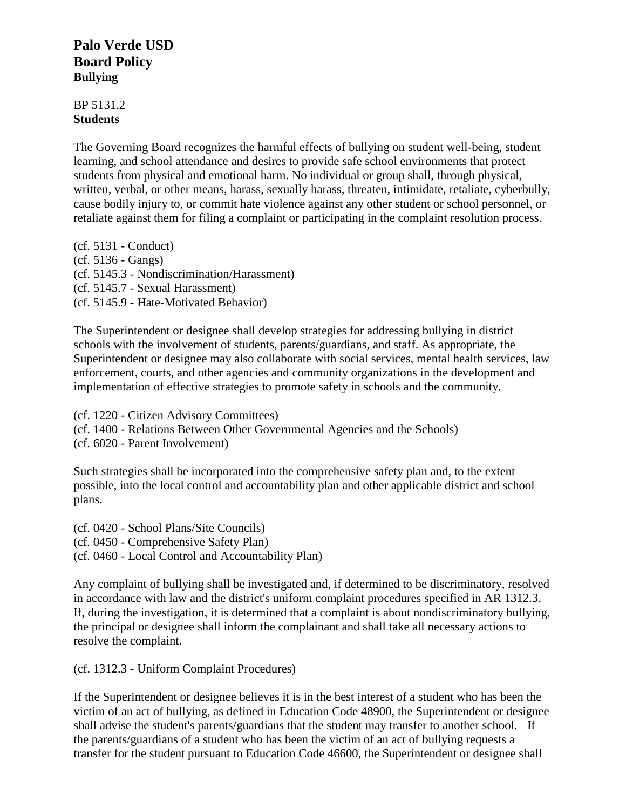## **Palo Verde USD Board Policy Bullying**

## BP 5131.2 **Students**

The Governing Board recognizes the harmful effects of bullying on student well-being, student learning, and school attendance and desires to provide safe school environments that protect students from physical and emotional harm. No individual or group shall, through physical, written, verbal, or other means, harass, sexually harass, threaten, intimidate, retaliate, cyberbully, cause bodily injury to, or commit hate violence against any other student or school personnel, or retaliate against them for filing a complaint or participating in the complaint resolution process.

(cf. 5131 - Conduct) (cf. 5136 - Gangs) (cf. 5145.3 - Nondiscrimination/Harassment) (cf. 5145.7 - Sexual Harassment) (cf. 5145.9 - Hate-Motivated Behavior)

The Superintendent or designee shall develop strategies for addressing bullying in district schools with the involvement of students, parents/guardians, and staff. As appropriate, the Superintendent or designee may also collaborate with social services, mental health services, law enforcement, courts, and other agencies and community organizations in the development and implementation of effective strategies to promote safety in schools and the community.

(cf. 1220 - Citizen Advisory Committees) (cf. 1400 - Relations Between Other Governmental Agencies and the Schools) (cf. 6020 - Parent Involvement)

Such strategies shall be incorporated into the comprehensive safety plan and, to the extent possible, into the local control and accountability plan and other applicable district and school plans.

(cf. 0420 - School Plans/Site Councils) (cf. 0450 - Comprehensive Safety Plan) (cf. 0460 - Local Control and Accountability Plan)

Any complaint of bullying shall be investigated and, if determined to be discriminatory, resolved in accordance with law and the district's uniform complaint procedures specified in AR 1312.3. If, during the investigation, it is determined that a complaint is about nondiscriminatory bullying, the principal or designee shall inform the complainant and shall take all necessary actions to resolve the complaint.

(cf. 1312.3 - Uniform Complaint Procedures)

If the Superintendent or designee believes it is in the best interest of a student who has been the victim of an act of bullying, as defined in Education Code 48900, the Superintendent or designee shall advise the student's parents/guardians that the student may transfer to another school. If the parents/guardians of a student who has been the victim of an act of bullying requests a transfer for the student pursuant to Education Code 46600, the Superintendent or designee shall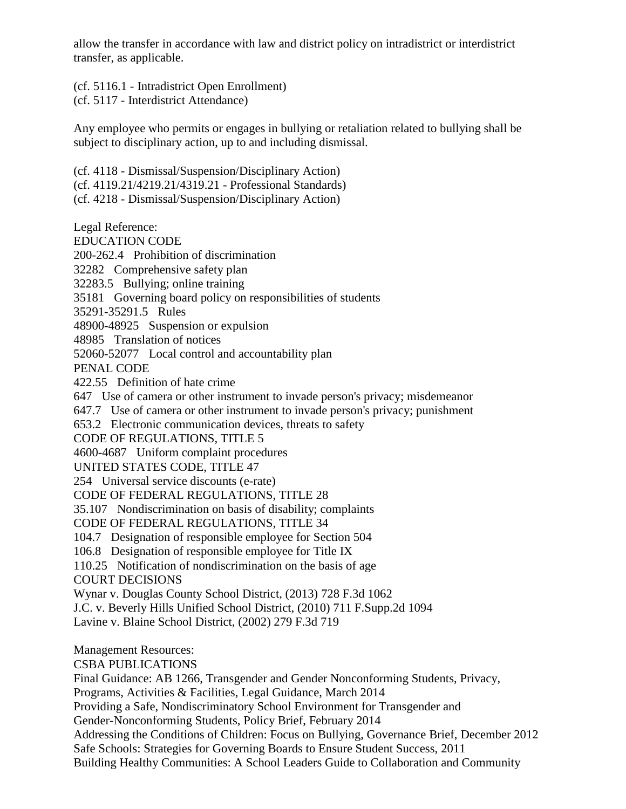allow the transfer in accordance with law and district policy on intradistrict or interdistrict transfer, as applicable.

(cf. 5116.1 - Intradistrict Open Enrollment)

(cf. 5117 - Interdistrict Attendance)

Any employee who permits or engages in bullying or retaliation related to bullying shall be subject to disciplinary action, up to and including dismissal.

(cf. 4118 - Dismissal/Suspension/Disciplinary Action) (cf. 4119.21/4219.21/4319.21 - Professional Standards) (cf. 4218 - Dismissal/Suspension/Disciplinary Action)

Legal Reference: EDUCATION CODE 200-262.4 Prohibition of discrimination 32282 Comprehensive safety plan 32283.5 Bullying; online training 35181 Governing board policy on responsibilities of students 35291-35291.5 Rules 48900-48925 Suspension or expulsion 48985 Translation of notices 52060-52077 Local control and accountability plan PENAL CODE 422.55 Definition of hate crime 647 Use of camera or other instrument to invade person's privacy; misdemeanor 647.7 Use of camera or other instrument to invade person's privacy; punishment 653.2 Electronic communication devices, threats to safety CODE OF REGULATIONS, TITLE 5 4600-4687 Uniform complaint procedures UNITED STATES CODE, TITLE 47 254 Universal service discounts (e-rate) CODE OF FEDERAL REGULATIONS, TITLE 28 35.107 Nondiscrimination on basis of disability; complaints CODE OF FEDERAL REGULATIONS, TITLE 34 104.7 Designation of responsible employee for Section 504 106.8 Designation of responsible employee for Title IX 110.25 Notification of nondiscrimination on the basis of age COURT DECISIONS Wynar v. Douglas County School District, (2013) 728 F.3d 1062 J.C. v. Beverly Hills Unified School District, (2010) 711 F.Supp.2d 1094 Lavine v. Blaine School District, (2002) 279 F.3d 719 Management Resources: CSBA PUBLICATIONS Final Guidance: AB 1266, Transgender and Gender Nonconforming Students, Privacy, Programs, Activities & Facilities, Legal Guidance, March 2014 Providing a Safe, Nondiscriminatory School Environment for Transgender and

Gender-Nonconforming Students, Policy Brief, February 2014

Addressing the Conditions of Children: Focus on Bullying, Governance Brief, December 2012

Safe Schools: Strategies for Governing Boards to Ensure Student Success, 2011

Building Healthy Communities: A School Leaders Guide to Collaboration and Community